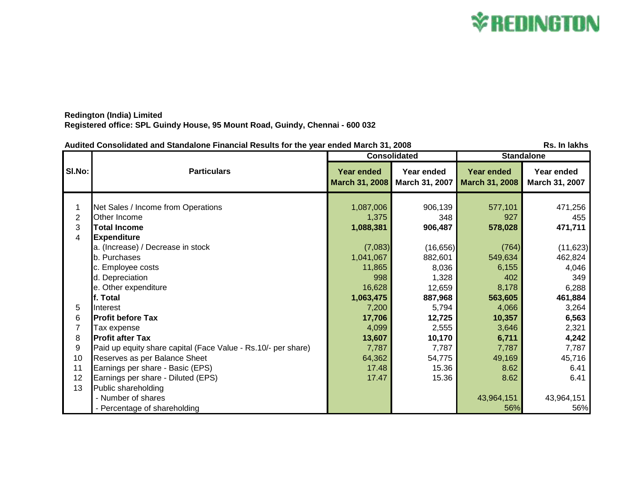## **\*REDINGTON**

## **Redington (India) Limited Registered office: SPL Guindy House, 95 Mount Road, Guindy, Chennai - 600 032**

|                | Audited Consolidated and Standalone Financial Results for the year ended March 31, 2008<br>Rs. In lakhs |                                            |                              |                                     |                              |  |
|----------------|---------------------------------------------------------------------------------------------------------|--------------------------------------------|------------------------------|-------------------------------------|------------------------------|--|
|                | <b>Particulars</b>                                                                                      | <b>Consolidated</b>                        |                              | <b>Standalone</b>                   |                              |  |
| SI.No:         |                                                                                                         | <b>Year ended</b><br><b>March 31, 2008</b> | Year ended<br>March 31, 2007 | <b>Year ended</b><br>March 31, 2008 | Year ended<br>March 31, 2007 |  |
|                | Net Sales / Income from Operations                                                                      | 1,087,006                                  | 906,139                      | 577,101                             | 471,256                      |  |
| $\overline{2}$ | Other Income                                                                                            | 1,375                                      | 348                          | 927                                 | 455                          |  |
| 3              | <b>Total Income</b>                                                                                     | 1,088,381                                  | 906,487                      | 578,028                             | 471,711                      |  |
| 4              | <b>Expenditure</b>                                                                                      |                                            |                              |                                     |                              |  |
|                | a. (Increase) / Decrease in stock                                                                       | (7,083)                                    | (16, 656)                    | (764)                               | (11, 623)                    |  |
|                | b. Purchases                                                                                            | 1,041,067                                  | 882,601                      | 549,634                             | 462,824                      |  |
|                | c. Employee costs                                                                                       | 11,865                                     | 8,036                        | 6,155                               | 4,046                        |  |
|                | d. Depreciation                                                                                         | 998                                        | 1,328                        | 402                                 | 349                          |  |
|                | e. Other expenditure                                                                                    | 16,628                                     | 12,659                       | 8,178                               | 6,288                        |  |
|                | f. Total                                                                                                | 1,063,475                                  | 887,968                      | 563,605                             | 461,884                      |  |
| 5              | Interest                                                                                                | 7,200                                      | 5,794                        | 4,066                               | 3,264                        |  |
| 6              | <b>Profit before Tax</b>                                                                                | 17,706                                     | 12,725                       | 10,357                              | 6,563                        |  |
|                | Tax expense                                                                                             | 4,099                                      | 2,555                        | 3,646                               | 2,321                        |  |
| 8              | <b>Profit after Tax</b>                                                                                 | 13,607                                     | 10,170                       | 6,711                               | 4,242                        |  |
| 9              | Paid up equity share capital (Face Value - Rs.10/- per share)                                           | 7,787                                      | 7,787                        | 7,787                               | 7,787                        |  |
| 10             | Reserves as per Balance Sheet                                                                           | 64,362                                     | 54,775                       | 49,169                              | 45,716                       |  |
| 11             | Earnings per share - Basic (EPS)                                                                        | 17.48                                      | 15.36                        | 8.62                                | 6.41                         |  |
| 12             | Earnings per share - Diluted (EPS)                                                                      | 17.47                                      | 15.36                        | 8.62                                | 6.41                         |  |
| 13             | Public shareholding                                                                                     |                                            |                              |                                     |                              |  |
|                | - Number of shares                                                                                      |                                            |                              | 43,964,151                          | 43,964,151                   |  |
|                | - Percentage of shareholding                                                                            |                                            |                              | 56%                                 | 56%                          |  |